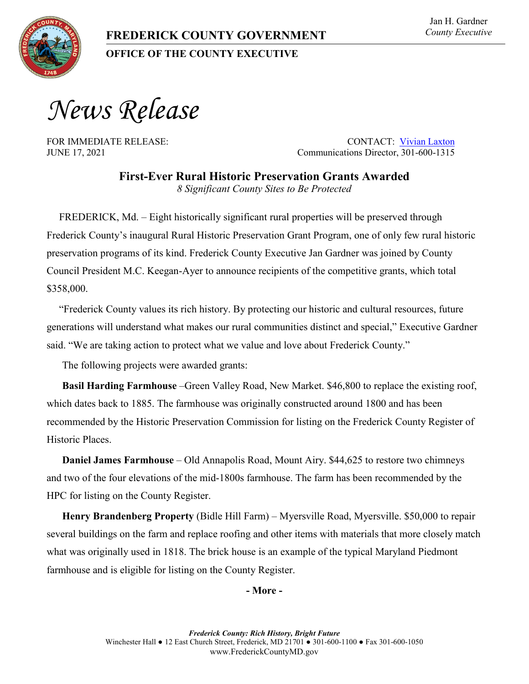*News Release*

FOR IMMEDIATE RELEASE: CONTACT: [Vivian Laxton](mailto:vlaxton@FrederickCountyMD.gov) JUNE 17, 2021 Communications Director, 301-600-1315

> **First-Ever Rural Historic Preservation Grants Awarded** *8 Significant County Sites to Be Protected*

FREDERICK, Md. – Eight historically significant rural properties will be preserved through Frederick County's inaugural Rural Historic Preservation Grant Program, one of only few rural historic preservation programs of its kind. Frederick County Executive Jan Gardner was joined by County Council President M.C. Keegan-Ayer to announce recipients of the competitive grants, which total \$358,000.

"Frederick County values its rich history. By protecting our historic and cultural resources, future generations will understand what makes our rural communities distinct and special," Executive Gardner said. "We are taking action to protect what we value and love about Frederick County."

The following projects were awarded grants:

**Basil Harding Farmhouse** –Green Valley Road, New Market. \$46,800 to replace the existing roof, which dates back to 1885. The farmhouse was originally constructed around 1800 and has been recommended by the Historic Preservation Commission for listing on the Frederick County Register of Historic Places.

**Daniel James Farmhouse** – Old Annapolis Road, Mount Airy. \$44,625 to restore two chimneys and two of the four elevations of the mid-1800s farmhouse. The farm has been recommended by the HPC for listing on the County Register.

**Henry Brandenberg Property** (Bidle Hill Farm) – Myersville Road, Myersville. \$50,000 to repair several buildings on the farm and replace roofing and other items with materials that more closely match what was originally used in 1818. The brick house is an example of the typical Maryland Piedmont farmhouse and is eligible for listing on the County Register.

## **- More -**